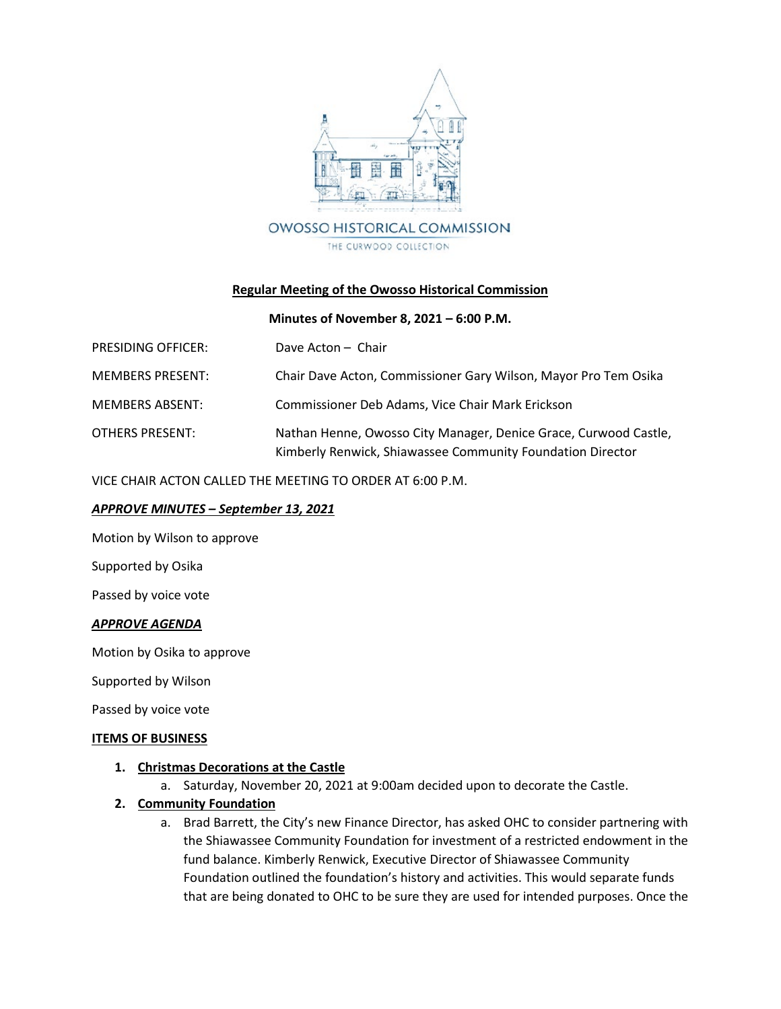

### **Regular Meeting of the Owosso Historical Commission**

### **Minutes of November 8, 2021 – 6:00 P.M.**

| PRESIDING OFFICER:      | Dave Acton - Chair                                                                                                             |
|-------------------------|--------------------------------------------------------------------------------------------------------------------------------|
| <b>MEMBERS PRESENT:</b> | Chair Dave Acton, Commissioner Gary Wilson, Mayor Pro Tem Osika                                                                |
| <b>MEMBERS ABSENT:</b>  | Commissioner Deb Adams, Vice Chair Mark Erickson                                                                               |
| OTHERS PRESENT:         | Nathan Henne, Owosso City Manager, Denice Grace, Curwood Castle,<br>Kimberly Renwick, Shiawassee Community Foundation Director |

VICE CHAIR ACTON CALLED THE MEETING TO ORDER AT 6:00 P.M.

### *APPROVE MINUTES – September 13, 2021*

Motion by Wilson to approve

Supported by Osika

Passed by voice vote

### *APPROVE AGENDA*

Motion by Osika to approve

Supported by Wilson

Passed by voice vote

#### **ITEMS OF BUSINESS**

### **1. Christmas Decorations at the Castle**

a. Saturday, November 20, 2021 at 9:00am decided upon to decorate the Castle.

### **2. Community Foundation**

a. Brad Barrett, the City's new Finance Director, has asked OHC to consider partnering with the Shiawassee Community Foundation for investment of a restricted endowment in the fund balance. Kimberly Renwick, Executive Director of Shiawassee Community Foundation outlined the foundation's history and activities. This would separate funds that are being donated to OHC to be sure they are used for intended purposes. Once the